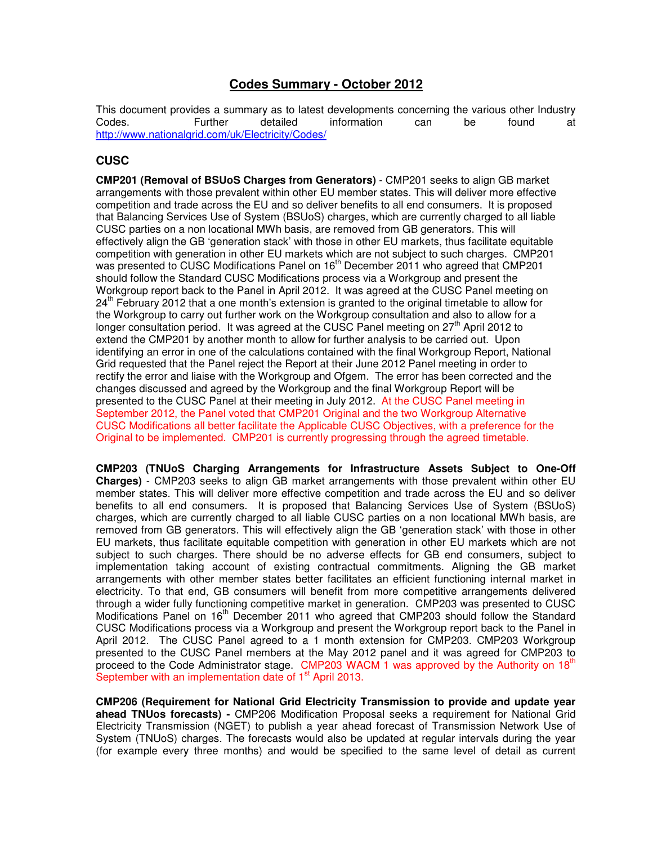# **Codes Summary - October 2012**

This document provides a summary as to latest developments concerning the various other Industry<br>Codes. Concerning the metalled information can be found at Codes. Further detailed information can be found at http://www.nationalgrid.com/uk/Electricity/Codes/

# **CUSC**

**CMP201 (Removal of BSUoS Charges from Generators)** - CMP201 seeks to align GB market arrangements with those prevalent within other EU member states. This will deliver more effective competition and trade across the EU and so deliver benefits to all end consumers. It is proposed that Balancing Services Use of System (BSUoS) charges, which are currently charged to all liable CUSC parties on a non locational MWh basis, are removed from GB generators. This will effectively align the GB 'generation stack' with those in other EU markets, thus facilitate equitable competition with generation in other EU markets which are not subject to such charges. CMP201 was presented to CUSC Modifications Panel on 16<sup>th</sup> December 2011 who agreed that CMP201 should follow the Standard CUSC Modifications process via a Workgroup and present the Workgroup report back to the Panel in April 2012. It was agreed at the CUSC Panel meeting on  $24<sup>th</sup>$  February 2012 that a one month's extension is granted to the original timetable to allow for the Workgroup to carry out further work on the Workgroup consultation and also to allow for a longer consultation period. It was agreed at the CUSC Panel meeting on  $27<sup>th</sup>$  April 2012 to extend the CMP201 by another month to allow for further analysis to be carried out. Upon identifying an error in one of the calculations contained with the final Workgroup Report, National Grid requested that the Panel reject the Report at their June 2012 Panel meeting in order to rectify the error and liaise with the Workgroup and Ofgem. The error has been corrected and the changes discussed and agreed by the Workgroup and the final Workgroup Report will be presented to the CUSC Panel at their meeting in July 2012. At the CUSC Panel meeting in September 2012, the Panel voted that CMP201 Original and the two Workgroup Alternative CUSC Modifications all better facilitate the Applicable CUSC Objectives, with a preference for the Original to be implemented. CMP201 is currently progressing through the agreed timetable.

**CMP203 (TNUoS Charging Arrangements for Infrastructure Assets Subject to One-Off Charges)** - CMP203 seeks to align GB market arrangements with those prevalent within other EU member states. This will deliver more effective competition and trade across the EU and so deliver benefits to all end consumers. It is proposed that Balancing Services Use of System (BSUoS) charges, which are currently charged to all liable CUSC parties on a non locational MWh basis, are removed from GB generators. This will effectively align the GB 'generation stack' with those in other EU markets, thus facilitate equitable competition with generation in other EU markets which are not subject to such charges. There should be no adverse effects for GB end consumers, subject to implementation taking account of existing contractual commitments. Aligning the GB market arrangements with other member states better facilitates an efficient functioning internal market in electricity. To that end, GB consumers will benefit from more competitive arrangements delivered through a wider fully functioning competitive market in generation. CMP203 was presented to CUSC Modifications Panel on 16<sup>th</sup> December 2011 who agreed that CMP203 should follow the Standard CUSC Modifications process via a Workgroup and present the Workgroup report back to the Panel in April 2012. The CUSC Panel agreed to a 1 month extension for CMP203. CMP203 Workgroup presented to the CUSC Panel members at the May 2012 panel and it was agreed for CMP203 to proceed to the Code Administrator stage. CMP203 WACM 1 was approved by the Authority on 18<sup>th</sup> September with an implementation date of 1<sup>st</sup> April 2013.

**CMP206 (Requirement for National Grid Electricity Transmission to provide and update year ahead TNUos forecasts) -** CMP206 Modification Proposal seeks a requirement for National Grid Electricity Transmission (NGET) to publish a year ahead forecast of Transmission Network Use of System (TNUoS) charges. The forecasts would also be updated at regular intervals during the year (for example every three months) and would be specified to the same level of detail as current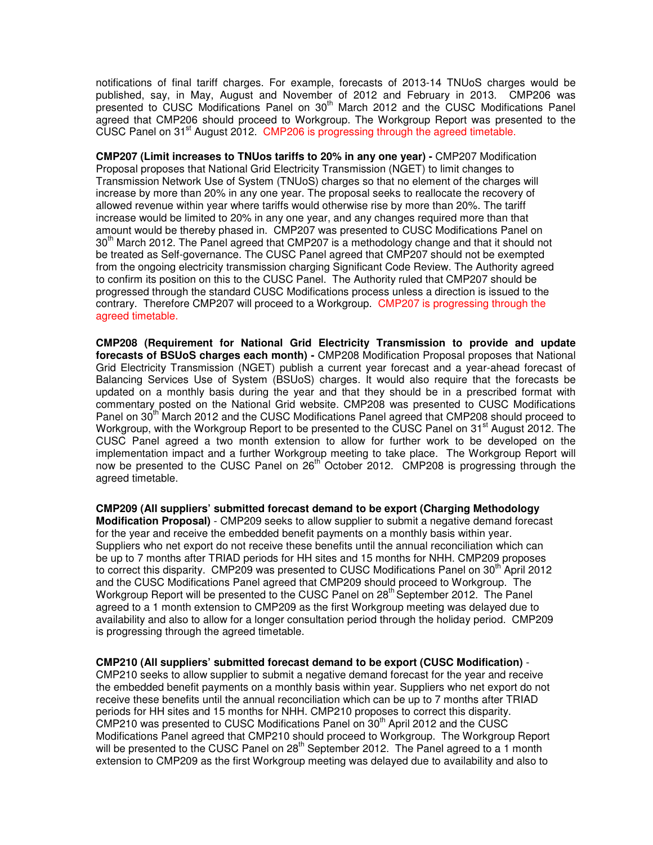notifications of final tariff charges. For example, forecasts of 2013-14 TNUoS charges would be published, say, in May, August and November of 2012 and February in 2013. CMP206 was presented to CUSC Modifications Panel on 30th March 2012 and the CUSC Modifications Panel agreed that CMP206 should proceed to Workgroup. The Workgroup Report was presented to the CUSC Panel on  $31<sup>st</sup>$  August 2012. CMP206 is progressing through the agreed timetable.

**CMP207 (Limit increases to TNUos tariffs to 20% in any one year) -** CMP207 Modification Proposal proposes that National Grid Electricity Transmission (NGET) to limit changes to Transmission Network Use of System (TNUoS) charges so that no element of the charges will increase by more than 20% in any one year. The proposal seeks to reallocate the recovery of allowed revenue within year where tariffs would otherwise rise by more than 20%. The tariff increase would be limited to 20% in any one year, and any changes required more than that amount would be thereby phased in. CMP207 was presented to CUSC Modifications Panel on  $30<sup>th</sup>$  March 2012. The Panel agreed that CMP207 is a methodology change and that it should not be treated as Self-governance. The CUSC Panel agreed that CMP207 should not be exempted from the ongoing electricity transmission charging Significant Code Review. The Authority agreed to confirm its position on this to the CUSC Panel. The Authority ruled that CMP207 should be progressed through the standard CUSC Modifications process unless a direction is issued to the contrary. Therefore CMP207 will proceed to a Workgroup. CMP207 is progressing through the agreed timetable.

**CMP208 (Requirement for National Grid Electricity Transmission to provide and update forecasts of BSUoS charges each month) -** CMP208 Modification Proposal proposes that National Grid Electricity Transmission (NGET) publish a current year forecast and a year-ahead forecast of Balancing Services Use of System (BSUoS) charges. It would also require that the forecasts be updated on a monthly basis during the year and that they should be in a prescribed format with commentary posted on the National Grid website. CMP208 was presented to CUSC Modifications Panel on 30<sup>th</sup> March 2012 and the CUSC Modifications Panel agreed that CMP208 should proceed to Workgroup, with the Workgroup Report to be presented to the CUSC Panel on 31<sup>st</sup> August 2012. The CUSC Panel agreed a two month extension to allow for further work to be developed on the implementation impact and a further Workgroup meeting to take place. The Workgroup Report will now be presented to the CUSC Panel on 26<sup>th</sup> October 2012. CMP208 is progressing through the agreed timetable.

**CMP209 (All suppliers' submitted forecast demand to be export (Charging Methodology Modification Proposal)** - CMP209 seeks to allow supplier to submit a negative demand forecast for the year and receive the embedded benefit payments on a monthly basis within year. Suppliers who net export do not receive these benefits until the annual reconciliation which can be up to 7 months after TRIAD periods for HH sites and 15 months for NHH. CMP209 proposes to correct this disparity. CMP209 was presented to CUSC Modifications Panel on 30<sup>th</sup> April 2012 and the CUSC Modifications Panel agreed that CMP209 should proceed to Workgroup. The Workgroup Report will be presented to the CUSC Panel on 28<sup>th</sup> September 2012. The Panel agreed to a 1 month extension to CMP209 as the first Workgroup meeting was delayed due to availability and also to allow for a longer consultation period through the holiday period. CMP209 is progressing through the agreed timetable.

**CMP210 (All suppliers' submitted forecast demand to be export (CUSC Modification)** - CMP210 seeks to allow supplier to submit a negative demand forecast for the year and receive the embedded benefit payments on a monthly basis within year. Suppliers who net export do not receive these benefits until the annual reconciliation which can be up to 7 months after TRIAD periods for HH sites and 15 months for NHH. CMP210 proposes to correct this disparity. CMP210 was presented to CUSC Modifications Panel on  $30<sup>th</sup>$  April 2012 and the CUSC Modifications Panel agreed that CMP210 should proceed to Workgroup. The Workgroup Report will be presented to the CUSC Panel on  $28<sup>th</sup>$  September 2012. The Panel agreed to a 1 month extension to CMP209 as the first Workgroup meeting was delayed due to availability and also to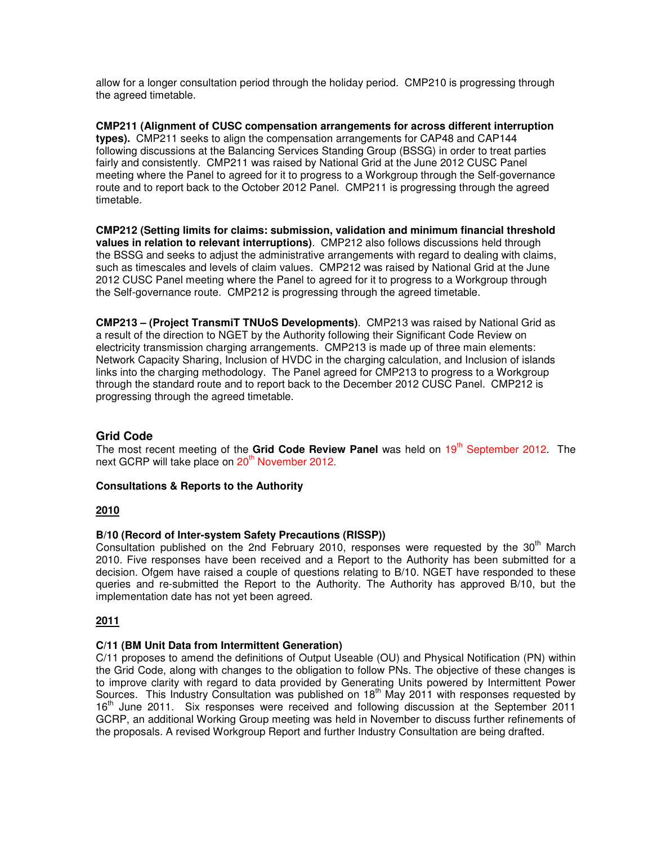allow for a longer consultation period through the holiday period. CMP210 is progressing through the agreed timetable.

**CMP211 (Alignment of CUSC compensation arrangements for across different interruption types).** CMP211 seeks to align the compensation arrangements for CAP48 and CAP144 following discussions at the Balancing Services Standing Group (BSSG) in order to treat parties fairly and consistently. CMP211 was raised by National Grid at the June 2012 CUSC Panel meeting where the Panel to agreed for it to progress to a Workgroup through the Self-governance route and to report back to the October 2012 Panel. CMP211 is progressing through the agreed timetable.

**CMP212 (Setting limits for claims: submission, validation and minimum financial threshold values in relation to relevant interruptions)**. CMP212 also follows discussions held through the BSSG and seeks to adjust the administrative arrangements with regard to dealing with claims, such as timescales and levels of claim values. CMP212 was raised by National Grid at the June 2012 CUSC Panel meeting where the Panel to agreed for it to progress to a Workgroup through the Self-governance route. CMP212 is progressing through the agreed timetable.

**CMP213 – (Project TransmiT TNUoS Developments)**. CMP213 was raised by National Grid as a result of the direction to NGET by the Authority following their Significant Code Review on electricity transmission charging arrangements. CMP213 is made up of three main elements: Network Capacity Sharing, Inclusion of HVDC in the charging calculation, and Inclusion of islands links into the charging methodology. The Panel agreed for CMP213 to progress to a Workgroup through the standard route and to report back to the December 2012 CUSC Panel. CMP212 is progressing through the agreed timetable.

# **Grid Code**

The most recent meeting of the Grid Code Review Panel was held on 19<sup>th</sup> September 2012. The next GCRP will take place on 20<sup>th</sup> November 2012.

# **Consultations & Reports to the Authority**

# **2010**

# **B/10 (Record of Inter-system Safety Precautions (RISSP))**

Consultation published on the 2nd February 2010, responses were requested by the  $30<sup>th</sup>$  March 2010. Five responses have been received and a Report to the Authority has been submitted for a decision. Ofgem have raised a couple of questions relating to B/10. NGET have responded to these queries and re-submitted the Report to the Authority. The Authority has approved B/10, but the implementation date has not yet been agreed.

# **2011**

#### **C/11 (BM Unit Data from Intermittent Generation)**

C/11 proposes to amend the definitions of Output Useable (OU) and Physical Notification (PN) within the Grid Code, along with changes to the obligation to follow PNs. The objective of these changes is to improve clarity with regard to data provided by Generating Units powered by Intermittent Power Sources. This Industry Consultation was published on  $18<sup>th</sup>$  May 2011 with responses requested by 16<sup>th</sup> June 2011. Six responses were received and following discussion at the September 2011 GCRP, an additional Working Group meeting was held in November to discuss further refinements of the proposals. A revised Workgroup Report and further Industry Consultation are being drafted.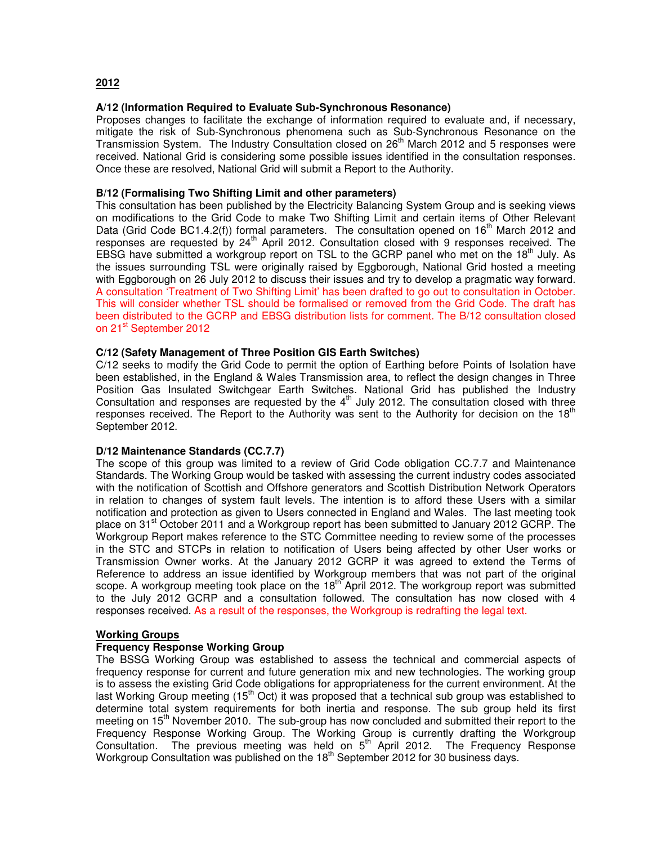# **2012**

## **A/12 (Information Required to Evaluate Sub-Synchronous Resonance)**

Proposes changes to facilitate the exchange of information required to evaluate and, if necessary, mitigate the risk of Sub-Synchronous phenomena such as Sub-Synchronous Resonance on the Transmission System. The Industry Consultation closed on  $26<sup>th</sup>$  March 2012 and 5 responses were received. National Grid is considering some possible issues identified in the consultation responses. Once these are resolved, National Grid will submit a Report to the Authority.

## **B/12 (Formalising Two Shifting Limit and other parameters)**

This consultation has been published by the Electricity Balancing System Group and is seeking views on modifications to the Grid Code to make Two Shifting Limit and certain items of Other Relevant Data (Grid Code BC1.4.2(f)) formal parameters. The consultation opened on  $16<sup>th</sup>$  March 2012 and responses are requested by 24th April 2012. Consultation closed with 9 responses received. The EBSG have submitted a workgroup report on TSL to the GCRP panel who met on the  $18<sup>th</sup>$  July. As the issues surrounding TSL were originally raised by Eggborough, National Grid hosted a meeting with Eggborough on 26 July 2012 to discuss their issues and try to develop a pragmatic way forward. A consultation 'Treatment of Two Shifting Limit' has been drafted to go out to consultation in October. This will consider whether TSL should be formalised or removed from the Grid Code. The draft has been distributed to the GCRP and EBSG distribution lists for comment. The B/12 consultation closed on 21<sup>st</sup> September 2012

## **C/12 (Safety Management of Three Position GIS Earth Switches)**

C/12 seeks to modify the Grid Code to permit the option of Earthing before Points of Isolation have been established, in the England & Wales Transmission area, to reflect the design changes in Three Position Gas Insulated Switchgear Earth Switches. National Grid has published the Industry Consultation and responses are requested by the  $4<sup>th</sup>$  July 2012. The consultation closed with three responses received. The Report to the Authority was sent to the Authority for decision on the 18<sup>th</sup> September 2012.

#### **D/12 Maintenance Standards (CC.7.7)**

The scope of this group was limited to a review of Grid Code obligation CC.7.7 and Maintenance Standards. The Working Group would be tasked with assessing the current industry codes associated with the notification of Scottish and Offshore generators and Scottish Distribution Network Operators in relation to changes of system fault levels. The intention is to afford these Users with a similar notification and protection as given to Users connected in England and Wales. The last meeting took place on 31<sup>st</sup> October 2011 and a Workgroup report has been submitted to January 2012 GCRP. The Workgroup Report makes reference to the STC Committee needing to review some of the processes in the STC and STCPs in relation to notification of Users being affected by other User works or Transmission Owner works. At the January 2012 GCRP it was agreed to extend the Terms of Reference to address an issue identified by Workgroup members that was not part of the original scope. A workgroup meeting took place on the 18<sup>th</sup> April 2012. The workgroup report was submitted to the July 2012 GCRP and a consultation followed. The consultation has now closed with 4 responses received. As a result of the responses, the Workgroup is redrafting the legal text.

# **Working Groups**

#### **Frequency Response Working Group**

The BSSG Working Group was established to assess the technical and commercial aspects of frequency response for current and future generation mix and new technologies. The working group is to assess the existing Grid Code obligations for appropriateness for the current environment. At the last Working Group meeting (15<sup>th</sup> Oct) it was proposed that a technical sub group was established to determine total system requirements for both inertia and response. The sub group held its first meeting on 15<sup>th</sup> November 2010. The sub-group has now concluded and submitted their report to the Frequency Response Working Group. The Working Group is currently drafting the Workgroup Consultation. The previous meeting was held on  $5<sup>th</sup>$  April 2012. The Frequency Response Workgroup Consultation was published on the 18<sup>th</sup> September 2012 for 30 business days.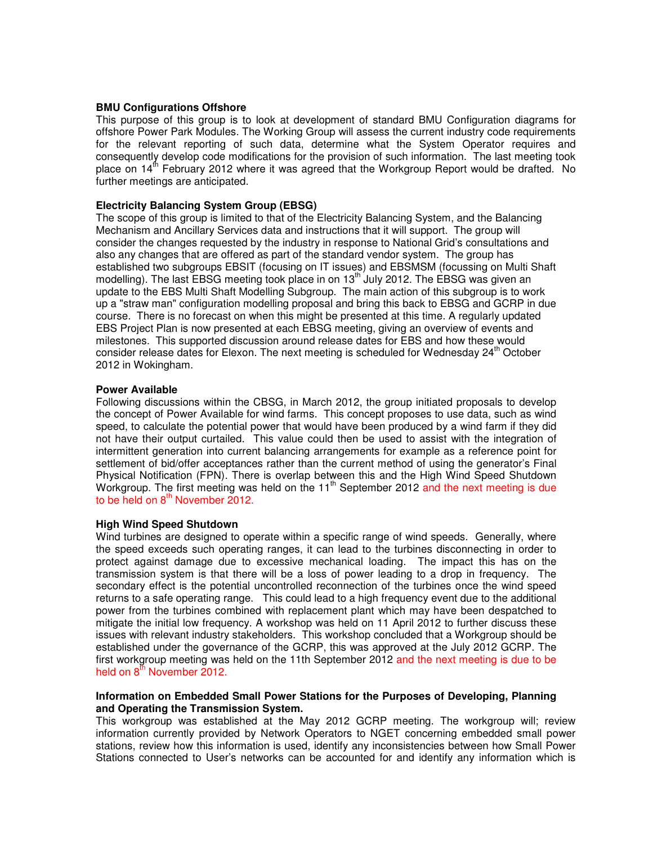#### **BMU Configurations Offshore**

This purpose of this group is to look at development of standard BMU Configuration diagrams for offshore Power Park Modules. The Working Group will assess the current industry code requirements for the relevant reporting of such data, determine what the System Operator requires and consequently develop code modifications for the provision of such information. The last meeting took place on  $14<sup>th</sup>$  February 2012 where it was agreed that the Workgroup Report would be drafted. No further meetings are anticipated.

#### **Electricity Balancing System Group (EBSG)**

The scope of this group is limited to that of the Electricity Balancing System, and the Balancing Mechanism and Ancillary Services data and instructions that it will support. The group will consider the changes requested by the industry in response to National Grid's consultations and also any changes that are offered as part of the standard vendor system. The group has established two subgroups EBSIT (focusing on IT issues) and EBSMSM (focussing on Multi Shaft modelling). The last EBSG meeting took place in on 13<sup>th</sup> July 2012. The EBSG was given an update to the EBS Multi Shaft Modelling Subgroup. The main action of this subgroup is to work up a "straw man" configuration modelling proposal and bring this back to EBSG and GCRP in due course. There is no forecast on when this might be presented at this time. A regularly updated EBS Project Plan is now presented at each EBSG meeting, giving an overview of events and milestones. This supported discussion around release dates for EBS and how these would consider release dates for Elexon. The next meeting is scheduled for Wednesday 24<sup>th</sup> October 2012 in Wokingham.

#### **Power Available**

Following discussions within the CBSG, in March 2012, the group initiated proposals to develop the concept of Power Available for wind farms. This concept proposes to use data, such as wind speed, to calculate the potential power that would have been produced by a wind farm if they did not have their output curtailed. This value could then be used to assist with the integration of intermittent generation into current balancing arrangements for example as a reference point for settlement of bid/offer acceptances rather than the current method of using the generator's Final Physical Notification (FPN). There is overlap between this and the High Wind Speed Shutdown Workgroup. The first meeting was held on the 11<sup>th</sup> September 2012 and the next meeting is due to be held on  $8<sup>th</sup>$  November 2012.

#### **High Wind Speed Shutdown**

Wind turbines are designed to operate within a specific range of wind speeds. Generally, where the speed exceeds such operating ranges, it can lead to the turbines disconnecting in order to protect against damage due to excessive mechanical loading. The impact this has on the transmission system is that there will be a loss of power leading to a drop in frequency. The secondary effect is the potential uncontrolled reconnection of the turbines once the wind speed returns to a safe operating range. This could lead to a high frequency event due to the additional power from the turbines combined with replacement plant which may have been despatched to mitigate the initial low frequency. A workshop was held on 11 April 2012 to further discuss these issues with relevant industry stakeholders. This workshop concluded that a Workgroup should be established under the governance of the GCRP, this was approved at the July 2012 GCRP. The first workgroup meeting was held on the 11th September 2012 and the next meeting is due to be held on  $8<sup>th</sup>$  November 2012.

#### **Information on Embedded Small Power Stations for the Purposes of Developing, Planning and Operating the Transmission System.**

This workgroup was established at the May 2012 GCRP meeting. The workgroup will; review information currently provided by Network Operators to NGET concerning embedded small power stations, review how this information is used, identify any inconsistencies between how Small Power Stations connected to User's networks can be accounted for and identify any information which is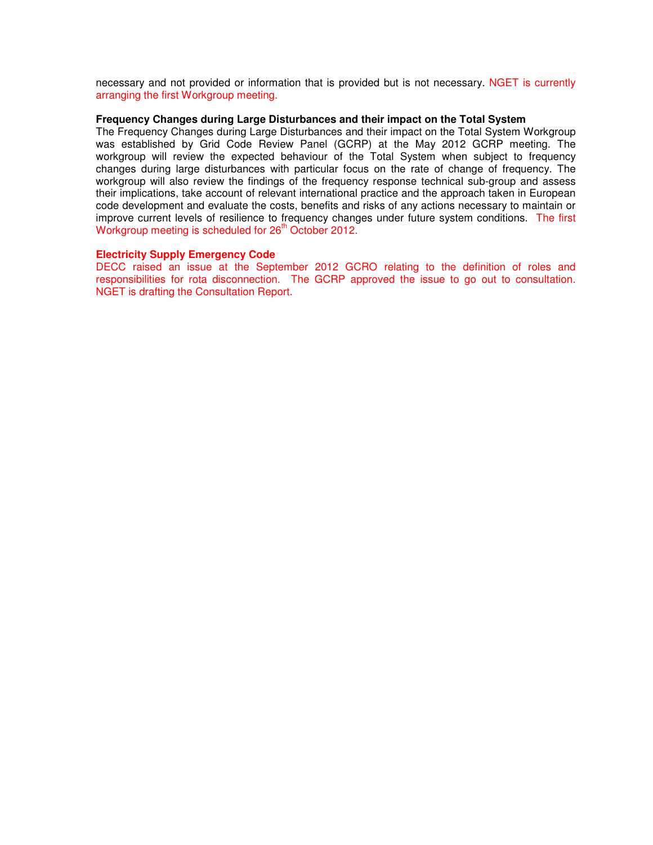necessary and not provided or information that is provided but is not necessary. NGET is currently arranging the first Workgroup meeting.

#### **Frequency Changes during Large Disturbances and their impact on the Total System**

The Frequency Changes during Large Disturbances and their impact on the Total System Workgroup was established by Grid Code Review Panel (GCRP) at the May 2012 GCRP meeting. The workgroup will review the expected behaviour of the Total System when subject to frequency changes during large disturbances with particular focus on the rate of change of frequency. The workgroup will also review the findings of the frequency response technical sub-group and assess their implications, take account of relevant international practice and the approach taken in European code development and evaluate the costs, benefits and risks of any actions necessary to maintain or improve current levels of resilience to frequency changes under future system conditions. The first Workgroup meeting is scheduled for 26<sup>th</sup> October 2012.

#### **Electricity Supply Emergency Code**

DECC raised an issue at the September 2012 GCRO relating to the definition of roles and responsibilities for rota disconnection. The GCRP approved the issue to go out to consultation. NGET is drafting the Consultation Report.